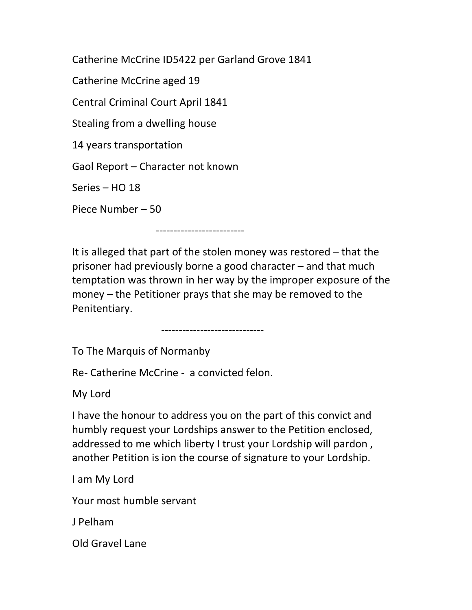Catherine McCrine ID5422 per Garland Grove 1841

Catherine McCrine aged 19

Central Criminal Court April 1841

Stealing from a dwelling house

14 years transportation

Gaol Report – Character not known

Series – HO 18

Piece Number – 50

-------------------------

It is alleged that part of the stolen money was restored – that the prisoner had previously borne a good character – and that much temptation was thrown in her way by the improper exposure of the money – the Petitioner prays that she may be removed to the Penitentiary.

-----------------------------

To The Marquis of Normanby

Re- Catherine McCrine - a convicted felon.

My Lord

I have the honour to address you on the part of this convict and humbly request your Lordships answer to the Petition enclosed, addressed to me which liberty I trust your Lordship will pardon , another Petition is ion the course of signature to your Lordship.

I am My Lord

Your most humble servant

J Pelham

Old Gravel Lane